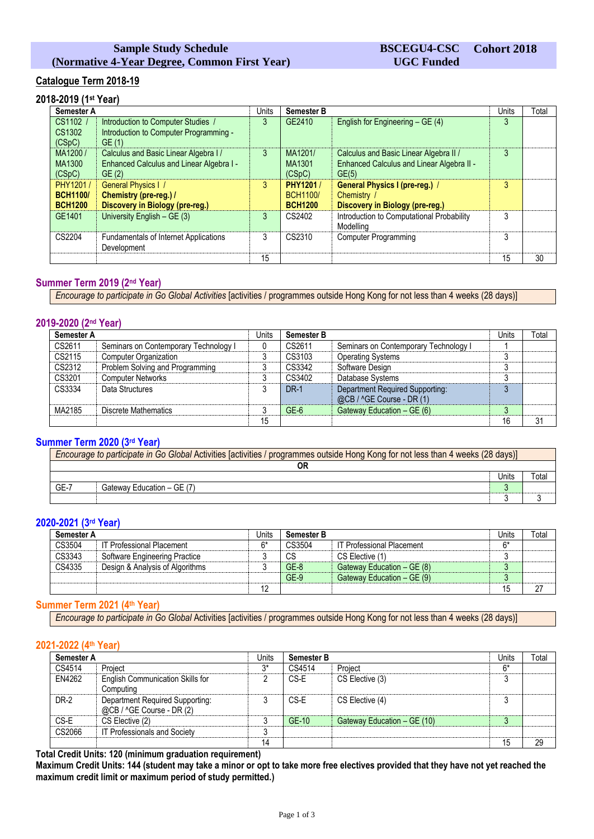## **Sample Study Schedule (Normative 4-Year Degree, Common First Year)**

## **Catalogue Term 2018-19**

# **2018-2019 (1st Year)**

| <b>Semester A</b>                             |                                                                                            | <b>Units</b> | <b>Semester B</b>                              |                                                                                              | Units | Total |
|-----------------------------------------------|--------------------------------------------------------------------------------------------|--------------|------------------------------------------------|----------------------------------------------------------------------------------------------|-------|-------|
| CS1102 /<br>CS1302<br>(CSpC)                  | Introduction to Computer Studies /<br>Introduction to Computer Programming -<br>GE(1)      | 3            | GE2410                                         | English for Engineering - GE (4)                                                             | 3     |       |
| MA1200/<br>MA1300<br>(CSpC)                   | Calculus and Basic Linear Algebra I /<br>Enhanced Calculus and Linear Algebra I -<br>GE(2) | 3            | MA1201/<br>MA1301<br>(CSpC)                    | Calculus and Basic Linear Algebra II /<br>Enhanced Calculus and Linear Algebra II -<br>GE(5) | 3     |       |
| PHY1201/<br><b>BCH1100/</b><br><b>BCH1200</b> | <b>General Physics I /</b><br>Chemistry (pre-reg.) /<br>Discovery in Biology (pre-reg.)    | 3            | PHY1201 /<br><b>BCH1100/</b><br><b>BCH1200</b> | <b>General Physics I (pre-reg.) /</b><br>Chemistry<br>Discovery in Biology (pre-reg.)        | 3     |       |
| GF1401                                        | University English $-$ GE (3)                                                              | 3            | CS2402                                         | Introduction to Computational Probability<br>Modelling                                       | 3     |       |
| CS2204                                        | Fundamentals of Internet Applications<br>Development                                       | 3            | CS2310                                         | <b>Computer Programming</b>                                                                  | 3     |       |
|                                               |                                                                                            | 15           |                                                |                                                                                              | 15    | 30    |

## **Summer Term 2019 (2 nd Year)**

*Encourage to participate in Go Global Activities* [activities / programmes outside Hong Kong for not less than 4 weeks (28 days)]

## **2019-2020 (2nd Year)**

| <b>Semester A</b> |                                       | Units | <b>Semester B</b> |                                                              |    | Total |
|-------------------|---------------------------------------|-------|-------------------|--------------------------------------------------------------|----|-------|
| CS2611            | Seminars on Contemporary Technology I |       | CS2611            | Seminars on Contemporary Technology I                        |    |       |
| CS2115            | <b>Computer Organization</b>          |       | CS3103            | <b>Operating Systems</b>                                     |    |       |
| CS2312            | Problem Solving and Programming       |       | CS3342            | Software Design                                              |    |       |
| CS3201            | <b>Computer Networks</b>              |       | CS3402            | Database Systems                                             |    |       |
| CS3334            | Data Structures                       |       | <b>DR-1</b>       | Department Required Supporting:<br>@CB / ^GE Course - DR (1) |    |       |
| MA2185            | Discrete Mathematics                  |       | $GE-6$            | Gateway Education - GE (6)                                   | c  |       |
|                   |                                       | 15    |                   |                                                              | 16 | 31    |

### **Summer Term 2020 (3rd Year)**

| Encourage to participate in Go Global Activities [activities / programmes outside Hong Kong for not less than 4 weeks (28 days)] |                            |  |  |  |  |
|----------------------------------------------------------------------------------------------------------------------------------|----------------------------|--|--|--|--|
|                                                                                                                                  | OR                         |  |  |  |  |
|                                                                                                                                  | <b>Jnits</b><br>™ota       |  |  |  |  |
| $GE-7$                                                                                                                           | Gateway Education – GE (7) |  |  |  |  |
|                                                                                                                                  |                            |  |  |  |  |

## **2020-2021 (3rd Year)**

| Semester A |                                  | Units | <b>Semester B</b> |                                  |      | Total |
|------------|----------------------------------|-------|-------------------|----------------------------------|------|-------|
| CS3504     | <b>IT Professional Placement</b> | ና*    | CS3504            | <b>IT Professional Placement</b> | $6*$ |       |
| CS3343     | Software Engineering Practice    |       | СS                | CS Elective (1)                  |      |       |
| CS4335     | Design & Analysis of Algorithms  |       | $GE-8$            | Gateway Education - GE (8)       |      |       |
|            |                                  |       | $GE-9$            | Gateway Education - GE (9)       | J    |       |
|            |                                  | 12    |                   |                                  | 15   |       |

#### **Summer Term 2021 (4 th Year)**

*Encourage to participate in Go Global* Activities [activities / programmes outside Hong Kong for not less than 4 weeks (28 days)]

### **2021-2022 (4th Year)**

| <b>Semester A</b> |                                                              | Units |        | <b>Semester B</b>           |        | Total |
|-------------------|--------------------------------------------------------------|-------|--------|-----------------------------|--------|-------|
| CS4514            | Project                                                      | n*    | CS4514 | Project                     | $6*$   |       |
| EN4262            | <b>English Communication Skills for</b><br>Computing         |       | CS-E   | CS Elective (3)             | 3      |       |
| DR-2              | Department Required Supporting:<br>@CB / ^GE Course - DR (2) |       | CS-E   | CS Elective (4)             | ົ<br>C |       |
| CS-E              | CS Elective (2)                                              |       | GE-10  | Gateway Education - GE (10) | 3      |       |
| CS2066            | IT Professionals and Society                                 |       |        |                             |        |       |
|                   |                                                              | 14    |        |                             | 15     | 29    |

**Total Credit Units: 120 (minimum graduation requirement)**

**Maximum Credit Units: 144 (student may take a minor or opt to take more free electives provided that they have not yet reached the maximum credit limit or maximum period of study permitted.)**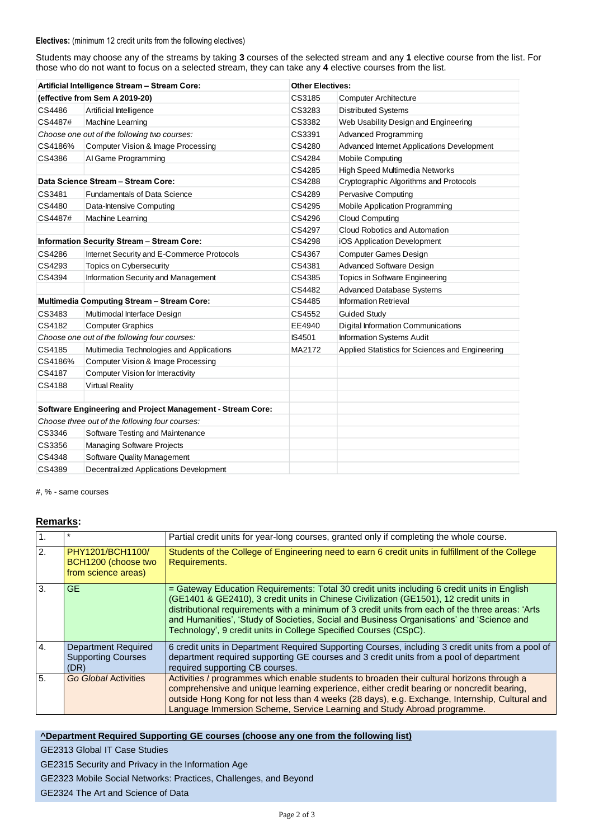#### **Electives:** (minimum 12 credit units from the following electives)

Students may choose any of the streams by taking **3** courses of the selected stream and any **1** elective course from the list. For those who do not want to focus on a selected stream, they can take any **4** elective courses from the list.

| Artificial Intelligence Stream - Stream Core:                     |                                                   | <b>Other Electives:</b> |                                                 |  |
|-------------------------------------------------------------------|---------------------------------------------------|-------------------------|-------------------------------------------------|--|
|                                                                   | (effective from Sem A 2019-20)                    | CS3185                  | <b>Computer Architecture</b>                    |  |
| CS4486                                                            | Artificial Intelligence                           | CS3283                  | <b>Distributed Systems</b>                      |  |
| CS4487#                                                           | Machine Learning                                  | CS3382                  | Web Usability Design and Engineering            |  |
|                                                                   | Choose one out of the following two courses:      | CS3391                  | <b>Advanced Programming</b>                     |  |
| CS4186%                                                           | Computer Vision & Image Processing                | CS4280                  | Advanced Internet Applications Development      |  |
| CS4386                                                            | Al Game Programming                               | CS4284                  | Mobile Computing                                |  |
|                                                                   |                                                   | CS4285                  | High Speed Multimedia Networks                  |  |
|                                                                   | Data Science Stream - Stream Core:                | CS4288                  | Cryptographic Algorithms and Protocols          |  |
| CS3481                                                            | <b>Fundamentals of Data Science</b>               | CS4289                  | Pervasive Computing                             |  |
| CS4480                                                            | Data-Intensive Computing                          | CS4295                  | <b>Mobile Application Programming</b>           |  |
| CS4487#                                                           | Machine Learning                                  | CS4296                  | <b>Cloud Computing</b>                          |  |
|                                                                   |                                                   | CS4297                  | Cloud Robotics and Automation                   |  |
|                                                                   | <b>Information Security Stream - Stream Core:</b> | CS4298                  | iOS Application Development                     |  |
| CS4286                                                            | Internet Security and E-Commerce Protocols        | CS4367                  | <b>Computer Games Design</b>                    |  |
| CS4293                                                            | Topics on Cybersecurity                           | CS4381                  | <b>Advanced Software Design</b>                 |  |
| CS4394                                                            | Information Security and Management               | CS4385                  | Topics in Software Engineering                  |  |
|                                                                   |                                                   | CS4482                  | <b>Advanced Database Systems</b>                |  |
|                                                                   | <b>Multimedia Computing Stream - Stream Core:</b> | CS4485                  | <b>Information Retrieval</b>                    |  |
| CS3483                                                            | Multimodal Interface Design                       | CS4552                  | <b>Guided Study</b>                             |  |
| CS4182                                                            | <b>Computer Graphics</b>                          | EE4940                  | <b>Digital Information Communications</b>       |  |
|                                                                   | Choose one out of the following four courses:     | <b>IS4501</b>           | Information Systems Audit                       |  |
| CS4185                                                            | Multimedia Technologies and Applications          | MA2172                  | Applied Statistics for Sciences and Engineering |  |
| CS4186%                                                           | Computer Vision & Image Processing                |                         |                                                 |  |
| CS4187                                                            | Computer Vision for Interactivity                 |                         |                                                 |  |
| CS4188                                                            | <b>Virtual Reality</b>                            |                         |                                                 |  |
|                                                                   |                                                   |                         |                                                 |  |
| <b>Software Engineering and Project Management - Stream Core:</b> |                                                   |                         |                                                 |  |
| Choose three out of the following four courses:                   |                                                   |                         |                                                 |  |
| CS3346                                                            | Software Testing and Maintenance                  |                         |                                                 |  |
| CS3356                                                            | <b>Managing Software Projects</b>                 |                         |                                                 |  |
| CS4348                                                            | <b>Software Quality Management</b>                |                         |                                                 |  |
| CS4389                                                            | <b>Decentralized Applications Development</b>     |                         |                                                 |  |

#, % - same courses

## **Remarks:**

| $\mathbf{1}$ .   | $\ast$                                                          | Partial credit units for year-long courses, granted only if completing the whole course.                                                                                                                                                                                                                                                                                                                                                                   |
|------------------|-----------------------------------------------------------------|------------------------------------------------------------------------------------------------------------------------------------------------------------------------------------------------------------------------------------------------------------------------------------------------------------------------------------------------------------------------------------------------------------------------------------------------------------|
| $\overline{2}$ . | PHY1201/BCH1100/<br>BCH1200 (choose two<br>from science areas)  | Students of the College of Engineering need to earn 6 credit units in fulfillment of the College<br>Requirements.                                                                                                                                                                                                                                                                                                                                          |
| 3.               | <b>GE</b>                                                       | = Gateway Education Requirements: Total 30 credit units including 6 credit units in English<br>(GE1401 & GE2410), 3 credit units in Chinese Civilization (GE1501), 12 credit units in<br>distributional requirements with a minimum of 3 credit units from each of the three areas: 'Arts<br>and Humanities', 'Study of Societies, Social and Business Organisations' and 'Science and<br>Technology', 9 credit units in College Specified Courses (CSpC). |
| $\overline{4}$ . | <b>Department Required</b><br><b>Supporting Courses</b><br>(DR) | 6 credit units in Department Required Supporting Courses, including 3 credit units from a pool of<br>department required supporting GE courses and 3 credit units from a pool of department<br>required supporting CB courses.                                                                                                                                                                                                                             |
| 5.               | <b>Go Global Activities</b>                                     | Activities / programmes which enable students to broaden their cultural horizons through a<br>comprehensive and unique learning experience, either credit bearing or noncredit bearing,<br>outside Hong Kong for not less than 4 weeks (28 days), e.g. Exchange, Internship, Cultural and<br>Language Immersion Scheme, Service Learning and Study Abroad programme.                                                                                       |

## **^Department Required Supporting GE courses (choose any one from the following list)**

GE2313 Global IT Case Studies

GE2315 Security and Privacy in the Information Age

GE2323 Mobile Social Networks: Practices, Challenges, and Beyond

GE2324 The Art and Science of Data